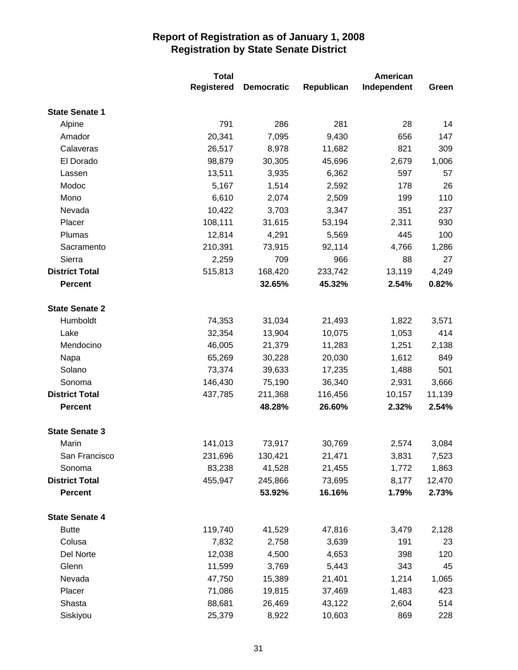|                       | <b>Total</b>      |                   | <b>American</b> |             |        |
|-----------------------|-------------------|-------------------|-----------------|-------------|--------|
|                       | <b>Registered</b> | <b>Democratic</b> | Republican      | Independent | Green  |
| <b>State Senate 1</b> |                   |                   |                 |             |        |
| Alpine                | 791               | 286               | 281             | 28          | 14     |
| Amador                | 20,341            | 7,095             | 9,430           | 656         | 147    |
| Calaveras             | 26,517            | 8,978             | 11,682          | 821         | 309    |
| El Dorado             | 98,879            | 30,305            | 45,696          | 2,679       | 1,006  |
| Lassen                | 13,511            | 3,935             | 6,362           | 597         | 57     |
| Modoc                 | 5,167             | 1,514             | 2,592           | 178         | 26     |
| Mono                  | 6,610             | 2,074             | 2,509           | 199         | 110    |
| Nevada                | 10,422            | 3,703             | 3,347           | 351         | 237    |
| Placer                | 108,111           | 31,615            | 53,194          | 2,311       | 930    |
| Plumas                | 12,814            | 4,291             | 5,569           | 445         | 100    |
| Sacramento            | 210,391           | 73,915            | 92,114          | 4,766       | 1,286  |
| Sierra                | 2,259             | 709               | 966             | 88          | 27     |
| <b>District Total</b> | 515,813           | 168,420           | 233,742         | 13,119      | 4,249  |
| <b>Percent</b>        |                   | 32.65%            | 45.32%          | 2.54%       | 0.82%  |
| <b>State Senate 2</b> |                   |                   |                 |             |        |
| Humboldt              | 74,353            | 31,034            | 21,493          | 1,822       | 3,571  |
| Lake                  | 32,354            | 13,904            | 10,075          | 1,053       | 414    |
| Mendocino             | 46,005            | 21,379            | 11,283          | 1,251       | 2,138  |
| Napa                  | 65,269            | 30,228            | 20,030          | 1,612       | 849    |
| Solano                | 73,374            | 39,633            | 17,235          | 1,488       | 501    |
| Sonoma                | 146,430           | 75,190            | 36,340          | 2,931       | 3,666  |
| <b>District Total</b> | 437,785           | 211,368           | 116,456         | 10,157      | 11,139 |
| <b>Percent</b>        |                   | 48.28%            | 26.60%          | 2.32%       | 2.54%  |
|                       |                   |                   |                 |             |        |
| <b>State Senate 3</b> |                   |                   |                 |             |        |
| Marin                 | 141,013           | 73,917            | 30,769          | 2,574       | 3,084  |
| San Francisco         | 231,696           | 130,421           | 21,471          | 3,831       | 7,523  |
| Sonoma                | 83,238            | 41,528            | 21,455          | 1,772       | 1,863  |
| <b>District Total</b> | 455,947           | 245,866           | 73,695          | 8,177       | 12,470 |
| <b>Percent</b>        |                   | 53.92%            | 16.16%          | 1.79%       | 2.73%  |
| <b>State Senate 4</b> |                   |                   |                 |             |        |
| <b>Butte</b>          | 119,740           | 41,529            | 47,816          | 3,479       | 2,128  |
| Colusa                | 7,832             | 2,758             | 3,639           | 191         | 23     |
| Del Norte             | 12,038            | 4,500             | 4,653           | 398         | 120    |
| Glenn                 | 11,599            | 3,769             | 5,443           | 343         | 45     |
| Nevada                | 47,750            | 15,389            | 21,401          | 1,214       | 1,065  |
| Placer                | 71,086            | 19,815            | 37,469          | 1,483       | 423    |
| Shasta                | 88,681            | 26,469            | 43,122          | 2,604       | 514    |
| Siskiyou              | 25,379            | 8,922             | 10,603          | 869         | 228    |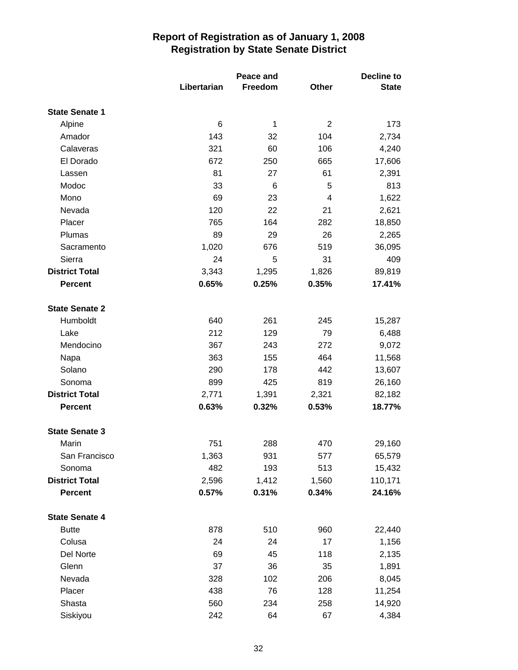|                       |             | Peace and |       | <b>Decline to</b> |  |
|-----------------------|-------------|-----------|-------|-------------------|--|
|                       | Libertarian | Freedom   | Other | <b>State</b>      |  |
| <b>State Senate 1</b> |             |           |       |                   |  |
| Alpine                | 6           | 1         | 2     | 173               |  |
| Amador                | 143         | 32        | 104   | 2,734             |  |
| Calaveras             | 321         | 60        | 106   | 4,240             |  |
| El Dorado             | 672         | 250       | 665   | 17,606            |  |
| Lassen                | 81          | 27        | 61    | 2,391             |  |
| Modoc                 | 33          | 6         | 5     | 813               |  |
| Mono                  | 69          | 23        | 4     | 1,622             |  |
| Nevada                | 120         | 22        | 21    | 2,621             |  |
| Placer                | 765         | 164       | 282   | 18,850            |  |
| Plumas                | 89          | 29        | 26    | 2,265             |  |
| Sacramento            | 1,020       | 676       | 519   | 36,095            |  |
| Sierra                | 24          | 5         | 31    | 409               |  |
| <b>District Total</b> | 3,343       | 1,295     | 1,826 | 89,819            |  |
| <b>Percent</b>        | 0.65%       | 0.25%     | 0.35% | 17.41%            |  |
| <b>State Senate 2</b> |             |           |       |                   |  |
| Humboldt              | 640         | 261       | 245   | 15,287            |  |
| Lake                  | 212         | 129       | 79    | 6,488             |  |
| Mendocino             | 367         | 243       | 272   | 9,072             |  |
| Napa                  | 363         | 155       | 464   | 11,568            |  |
| Solano                | 290         | 178       | 442   | 13,607            |  |
| Sonoma                | 899         | 425       | 819   | 26,160            |  |
| <b>District Total</b> | 2,771       | 1,391     | 2,321 | 82,182            |  |
| <b>Percent</b>        | 0.63%       | 0.32%     | 0.53% | 18.77%            |  |
| <b>State Senate 3</b> |             |           |       |                   |  |
| Marin                 | 751         | 288       | 470   | 29,160            |  |
| San Francisco         | 1,363       | 931       | 577   | 65,579            |  |
| Sonoma                | 482         | 193       | 513   | 15,432            |  |
| <b>District Total</b> | 2,596       | 1,412     | 1,560 | 110,171           |  |
| <b>Percent</b>        | 0.57%       | 0.31%     | 0.34% | 24.16%            |  |
| <b>State Senate 4</b> |             |           |       |                   |  |
| <b>Butte</b>          | 878         | 510       | 960   | 22,440            |  |
| Colusa                | 24          | 24        | 17    | 1,156             |  |
| Del Norte             | 69          | 45        | 118   | 2,135             |  |
| Glenn                 | 37          | 36        | 35    | 1,891             |  |
| Nevada                | 328         | 102       | 206   | 8,045             |  |
| Placer                | 438         | 76        | 128   | 11,254            |  |
| Shasta                | 560         | 234       | 258   | 14,920            |  |
| Siskiyou              | 242         | 64        | 67    | 4,384             |  |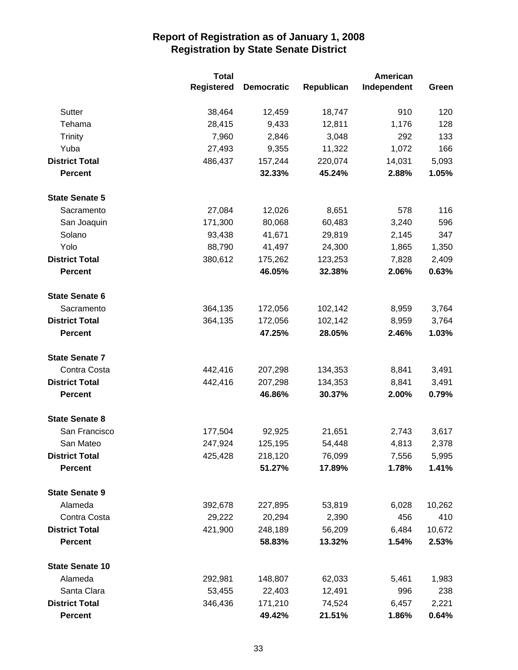|                        | <b>Total</b>      |                   | American   |             |        |
|------------------------|-------------------|-------------------|------------|-------------|--------|
|                        | <b>Registered</b> | <b>Democratic</b> | Republican | Independent | Green  |
| Sutter                 | 38,464            | 12,459            | 18,747     | 910         | 120    |
| Tehama                 | 28,415            | 9,433             | 12,811     | 1,176       | 128    |
| <b>Trinity</b>         | 7,960             | 2,846             | 3,048      | 292         | 133    |
| Yuba                   | 27,493            | 9,355             | 11,322     | 1,072       | 166    |
| <b>District Total</b>  | 486,437           | 157,244           | 220,074    | 14,031      | 5,093  |
| <b>Percent</b>         |                   | 32.33%            | 45.24%     | 2.88%       | 1.05%  |
| <b>State Senate 5</b>  |                   |                   |            |             |        |
| Sacramento             | 27,084            | 12,026            | 8,651      | 578         | 116    |
| San Joaquin            | 171,300           | 80,068            | 60,483     | 3,240       | 596    |
| Solano                 | 93,438            | 41,671            | 29,819     | 2,145       | 347    |
| Yolo                   | 88,790            | 41,497            | 24,300     | 1,865       | 1,350  |
| <b>District Total</b>  | 380,612           | 175,262           | 123,253    | 7,828       | 2,409  |
| <b>Percent</b>         |                   | 46.05%            | 32.38%     | 2.06%       | 0.63%  |
| <b>State Senate 6</b>  |                   |                   |            |             |        |
| Sacramento             | 364,135           | 172,056           | 102,142    | 8,959       | 3,764  |
| <b>District Total</b>  | 364,135           | 172,056           | 102,142    | 8,959       | 3,764  |
| <b>Percent</b>         |                   | 47.25%            | 28.05%     | 2.46%       | 1.03%  |
| <b>State Senate 7</b>  |                   |                   |            |             |        |
| Contra Costa           | 442,416           | 207,298           | 134,353    | 8,841       | 3,491  |
| <b>District Total</b>  | 442,416           | 207,298           | 134,353    | 8,841       | 3,491  |
| <b>Percent</b>         |                   | 46.86%            | 30.37%     | 2.00%       | 0.79%  |
| <b>State Senate 8</b>  |                   |                   |            |             |        |
| San Francisco          | 177,504           | 92,925            | 21,651     | 2,743       | 3,617  |
| San Mateo              | 247,924           | 125,195           | 54,448     | 4,813       | 2,378  |
| <b>District Total</b>  | 425,428           | 218,120           | 76,099     | 7,556       | 5,995  |
| <b>Percent</b>         |                   | 51.27%            | 17.89%     | 1.78%       | 1.41%  |
| <b>State Senate 9</b>  |                   |                   |            |             |        |
| Alameda                | 392,678           | 227,895           | 53,819     | 6,028       | 10,262 |
| Contra Costa           | 29,222            | 20,294            | 2,390      | 456         | 410    |
| <b>District Total</b>  | 421,900           | 248,189           | 56,209     | 6,484       | 10,672 |
| <b>Percent</b>         |                   | 58.83%            | 13.32%     | 1.54%       | 2.53%  |
| <b>State Senate 10</b> |                   |                   |            |             |        |
| Alameda                | 292,981           | 148,807           | 62,033     | 5,461       | 1,983  |
| Santa Clara            | 53,455            | 22,403            | 12,491     | 996         | 238    |
| <b>District Total</b>  | 346,436           | 171,210           | 74,524     | 6,457       | 2,221  |
| <b>Percent</b>         |                   | 49.42%            | 21.51%     | 1.86%       | 0.64%  |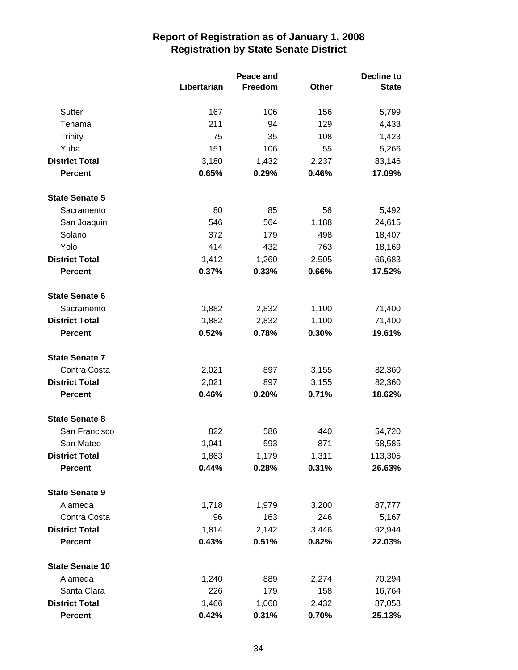|                        |             | Peace and |       |              |
|------------------------|-------------|-----------|-------|--------------|
|                        | Libertarian | Freedom   | Other | <b>State</b> |
| Sutter                 | 167         | 106       | 156   | 5,799        |
| Tehama                 | 211         | 94        | 129   | 4,433        |
| <b>Trinity</b>         | 75          | 35        | 108   | 1,423        |
| Yuba                   | 151         | 106       | 55    | 5,266        |
| <b>District Total</b>  | 3,180       | 1,432     | 2,237 | 83,146       |
| <b>Percent</b>         | 0.65%       | 0.29%     | 0.46% | 17.09%       |
| <b>State Senate 5</b>  |             |           |       |              |
| Sacramento             | 80          | 85        | 56    | 5,492        |
| San Joaquin            | 546         | 564       | 1,188 | 24,615       |
| Solano                 | 372         | 179       | 498   | 18,407       |
| Yolo                   | 414         | 432       | 763   | 18,169       |
| <b>District Total</b>  | 1,412       | 1,260     | 2,505 | 66,683       |
| <b>Percent</b>         | 0.37%       | 0.33%     | 0.66% | 17.52%       |
| <b>State Senate 6</b>  |             |           |       |              |
| Sacramento             | 1,882       | 2,832     | 1,100 | 71,400       |
| <b>District Total</b>  | 1,882       | 2,832     | 1,100 | 71,400       |
| <b>Percent</b>         | 0.52%       | 0.78%     | 0.30% | 19.61%       |
| <b>State Senate 7</b>  |             |           |       |              |
| Contra Costa           | 2,021       | 897       | 3,155 | 82,360       |
| <b>District Total</b>  | 2,021       | 897       | 3,155 | 82,360       |
| <b>Percent</b>         | 0.46%       | 0.20%     | 0.71% | 18.62%       |
| <b>State Senate 8</b>  |             |           |       |              |
| San Francisco          | 822         | 586       | 440   | 54,720       |
| San Mateo              | 1,041       | 593       | 871   | 58,585       |
| <b>District Total</b>  | 1,863       | 1,179     | 1,311 | 113,305      |
| <b>Percent</b>         | 0.44%       | 0.28%     | 0.31% | 26.63%       |
| <b>State Senate 9</b>  |             |           |       |              |
| Alameda                | 1,718       | 1,979     | 3,200 | 87,777       |
| Contra Costa           | 96          | 163       | 246   | 5,167        |
| <b>District Total</b>  | 1,814       | 2,142     | 3,446 | 92,944       |
| <b>Percent</b>         | 0.43%       | 0.51%     | 0.82% | 22.03%       |
| <b>State Senate 10</b> |             |           |       |              |
| Alameda                | 1,240       | 889       | 2,274 | 70,294       |
| Santa Clara            | 226         | 179       | 158   | 16,764       |
| <b>District Total</b>  | 1,466       | 1,068     | 2,432 | 87,058       |
| <b>Percent</b>         | 0.42%       | 0.31%     | 0.70% | 25.13%       |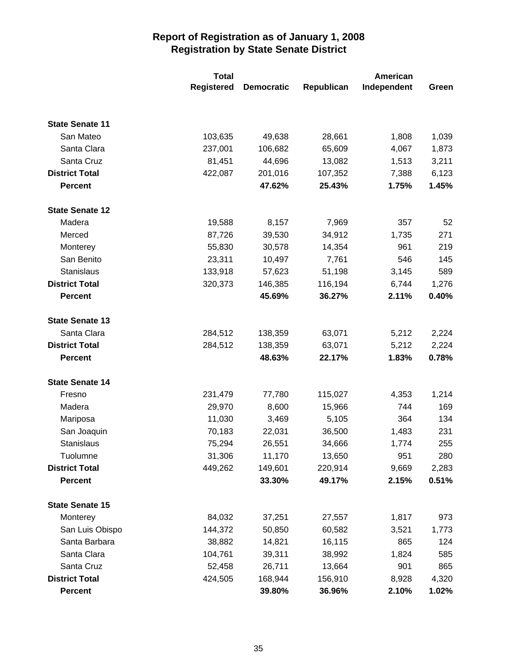|                        | <b>Total</b>      |                   | American   |             |       |
|------------------------|-------------------|-------------------|------------|-------------|-------|
|                        | <b>Registered</b> | <b>Democratic</b> | Republican | Independent | Green |
|                        |                   |                   |            |             |       |
| <b>State Senate 11</b> |                   |                   |            |             |       |
| San Mateo              | 103,635           | 49,638            | 28,661     | 1,808       | 1,039 |
| Santa Clara            | 237,001           | 106,682           | 65,609     | 4,067       | 1,873 |
| Santa Cruz             | 81,451            | 44,696            | 13,082     | 1,513       | 3,211 |
| <b>District Total</b>  | 422,087           | 201,016           | 107,352    | 7,388       | 6,123 |
| <b>Percent</b>         |                   | 47.62%            | 25.43%     | 1.75%       | 1.45% |
| <b>State Senate 12</b> |                   |                   |            |             |       |
| Madera                 | 19,588            | 8,157             | 7,969      | 357         | 52    |
| Merced                 | 87,726            | 39,530            | 34,912     | 1,735       | 271   |
| Monterey               | 55,830            | 30,578            | 14,354     | 961         | 219   |
| San Benito             | 23,311            | 10,497            | 7,761      | 546         | 145   |
| Stanislaus             | 133,918           | 57,623            | 51,198     | 3,145       | 589   |
| <b>District Total</b>  | 320,373           | 146,385           | 116,194    | 6,744       | 1,276 |
| <b>Percent</b>         |                   | 45.69%            | 36.27%     | 2.11%       | 0.40% |
| <b>State Senate 13</b> |                   |                   |            |             |       |
| Santa Clara            | 284,512           | 138,359           | 63,071     | 5,212       | 2,224 |
| <b>District Total</b>  | 284,512           | 138,359           | 63,071     | 5,212       | 2,224 |
| <b>Percent</b>         |                   | 48.63%            | 22.17%     | 1.83%       | 0.78% |
| <b>State Senate 14</b> |                   |                   |            |             |       |
| Fresno                 | 231,479           | 77,780            | 115,027    | 4,353       | 1,214 |
| Madera                 | 29,970            | 8,600             | 15,966     | 744         | 169   |
| Mariposa               | 11,030            | 3,469             | 5,105      | 364         | 134   |
| San Joaquin            | 70,183            | 22,031            | 36,500     | 1,483       | 231   |
| <b>Stanislaus</b>      | 75,294            | 26,551            | 34,666     | 1,774       | 255   |
| Tuolumne               | 31,306            | 11,170            | 13,650     | 951         | 280   |
| <b>District Total</b>  | 449,262           | 149,601           | 220,914    | 9,669       | 2,283 |
| <b>Percent</b>         |                   | 33.30%            | 49.17%     | 2.15%       | 0.51% |
| <b>State Senate 15</b> |                   |                   |            |             |       |
| Monterey               | 84,032            | 37,251            | 27,557     | 1,817       | 973   |
| San Luis Obispo        | 144,372           | 50,850            | 60,582     | 3,521       | 1,773 |
| Santa Barbara          | 38,882            | 14,821            | 16,115     | 865         | 124   |
| Santa Clara            | 104,761           | 39,311            | 38,992     | 1,824       | 585   |
| Santa Cruz             | 52,458            | 26,711            | 13,664     | 901         | 865   |
| <b>District Total</b>  | 424,505           | 168,944           | 156,910    | 8,928       | 4,320 |
| <b>Percent</b>         |                   | 39.80%            | 36.96%     | 2.10%       | 1.02% |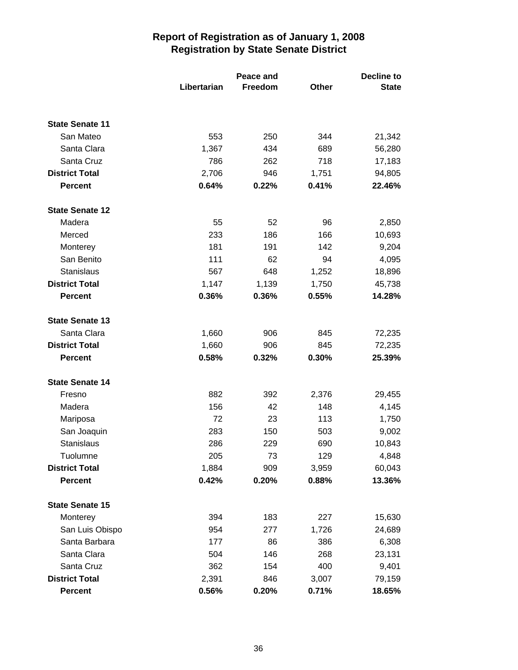|                        |             | Peace and |              |              |
|------------------------|-------------|-----------|--------------|--------------|
|                        | Libertarian | Freedom   | <b>Other</b> | <b>State</b> |
|                        |             |           |              |              |
| <b>State Senate 11</b> |             |           |              |              |
| San Mateo              | 553         | 250       | 344          | 21,342       |
| Santa Clara            | 1,367       | 434       | 689          | 56,280       |
| Santa Cruz             | 786         | 262       | 718          | 17,183       |
| <b>District Total</b>  | 2,706       | 946       | 1,751        | 94,805       |
| <b>Percent</b>         | 0.64%       | 0.22%     | 0.41%        | 22.46%       |
| <b>State Senate 12</b> |             |           |              |              |
| Madera                 | 55          | 52        | 96           | 2,850        |
| Merced                 | 233         | 186       | 166          | 10,693       |
| Monterey               | 181         | 191       | 142          | 9,204        |
| San Benito             | 111         | 62        | 94           | 4,095        |
| <b>Stanislaus</b>      | 567         | 648       | 1,252        | 18,896       |
| <b>District Total</b>  | 1,147       | 1,139     | 1,750        | 45,738       |
| <b>Percent</b>         | 0.36%       | 0.36%     | 0.55%        | 14.28%       |
| <b>State Senate 13</b> |             |           |              |              |
| Santa Clara            | 1,660       | 906       | 845          | 72,235       |
| <b>District Total</b>  | 1,660       | 906       | 845          | 72,235       |
| <b>Percent</b>         | 0.58%       | 0.32%     | 0.30%        | 25.39%       |
| <b>State Senate 14</b> |             |           |              |              |
| Fresno                 | 882         | 392       | 2,376        | 29,455       |
| Madera                 | 156         | 42        | 148          | 4,145        |
| Mariposa               | 72          | 23        | 113          | 1,750        |
| San Joaquin            | 283         | 150       | 503          | 9,002        |
| Stanislaus             | 286         | 229       | 690          | 10,843       |
| Tuolumne               | 205         | 73        | 129          | 4,848        |
| <b>District Total</b>  | 1,884       | 909       | 3,959        | 60,043       |
| <b>Percent</b>         | 0.42%       | 0.20%     | 0.88%        | 13.36%       |
| <b>State Senate 15</b> |             |           |              |              |
| Monterey               | 394         | 183       | 227          | 15,630       |
| San Luis Obispo        | 954         | 277       | 1,726        | 24,689       |
| Santa Barbara          | 177         | 86        | 386          | 6,308        |
| Santa Clara            | 504         | 146       | 268          | 23,131       |
| Santa Cruz             | 362         | 154       | 400          | 9,401        |
| <b>District Total</b>  | 2,391       | 846       | 3,007        | 79,159       |
| Percent                | 0.56%       | 0.20%     | 0.71%        | 18.65%       |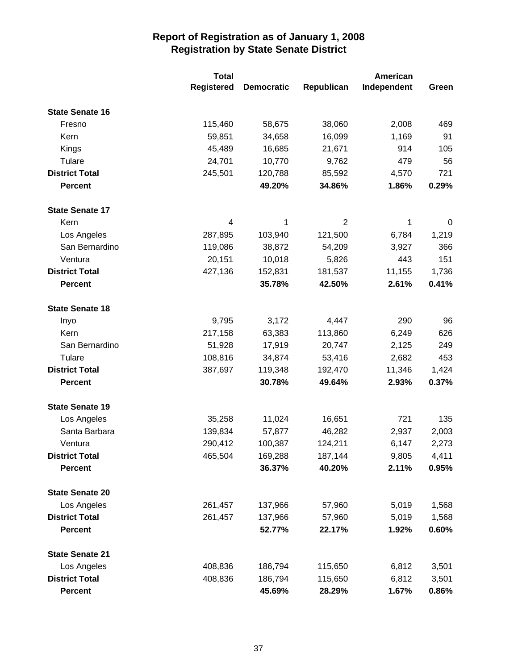|                        | <b>Total</b>      | <b>American</b>   |                |             |       |
|------------------------|-------------------|-------------------|----------------|-------------|-------|
|                        | <b>Registered</b> | <b>Democratic</b> | Republican     | Independent | Green |
| <b>State Senate 16</b> |                   |                   |                |             |       |
| Fresno                 | 115,460           | 58,675            | 38,060         | 2,008       | 469   |
| Kern                   | 59,851            | 34,658            | 16,099         | 1,169       | 91    |
| Kings                  | 45,489            | 16,685            | 21,671         | 914         | 105   |
| Tulare                 | 24,701            | 10,770            | 9,762          | 479         | 56    |
| <b>District Total</b>  | 245,501           | 120,788           | 85,592         | 4,570       | 721   |
| <b>Percent</b>         |                   | 49.20%            | 34.86%         | 1.86%       | 0.29% |
| <b>State Senate 17</b> |                   |                   |                |             |       |
| Kern                   | 4                 | 1                 | $\overline{2}$ | 1           | 0     |
| Los Angeles            | 287,895           | 103,940           | 121,500        | 6,784       | 1,219 |
| San Bernardino         | 119,086           | 38,872            | 54,209         | 3,927       | 366   |
| Ventura                | 20,151            | 10,018            | 5,826          | 443         | 151   |
| <b>District Total</b>  | 427,136           | 152,831           | 181,537        | 11,155      | 1,736 |
| <b>Percent</b>         |                   | 35.78%            | 42.50%         | 2.61%       | 0.41% |
| <b>State Senate 18</b> |                   |                   |                |             |       |
| Inyo                   | 9,795             | 3,172             | 4,447          | 290         | 96    |
| Kern                   | 217,158           | 63,383            | 113,860        | 6,249       | 626   |
| San Bernardino         | 51,928            | 17,919            | 20,747         | 2,125       | 249   |
| Tulare                 | 108,816           | 34,874            | 53,416         | 2,682       | 453   |
| <b>District Total</b>  | 387,697           | 119,348           | 192,470        | 11,346      | 1,424 |
| <b>Percent</b>         |                   | 30.78%            | 49.64%         | 2.93%       | 0.37% |
| <b>State Senate 19</b> |                   |                   |                |             |       |
| Los Angeles            | 35,258            | 11,024            | 16,651         | 721         | 135   |
| Santa Barbara          | 139,834           | 57,877            | 46,282         | 2,937       | 2,003 |
| Ventura                | 290,412           | 100,387           | 124,211        | 6,147       | 2,273 |
| <b>District Total</b>  | 465,504           | 169,288           | 187,144        | 9,805       | 4,411 |
| <b>Percent</b>         |                   | 36.37%            | 40.20%         | 2.11%       | 0.95% |
| <b>State Senate 20</b> |                   |                   |                |             |       |
| Los Angeles            | 261,457           | 137,966           | 57,960         | 5,019       | 1,568 |
| <b>District Total</b>  | 261,457           | 137,966           | 57,960         | 5,019       | 1,568 |
| <b>Percent</b>         |                   | 52.77%            | 22.17%         | 1.92%       | 0.60% |
| <b>State Senate 21</b> |                   |                   |                |             |       |
| Los Angeles            | 408,836           | 186,794           | 115,650        | 6,812       | 3,501 |
| <b>District Total</b>  | 408,836           | 186,794           | 115,650        | 6,812       | 3,501 |
| <b>Percent</b>         |                   | 45.69%            | 28.29%         | 1.67%       | 0.86% |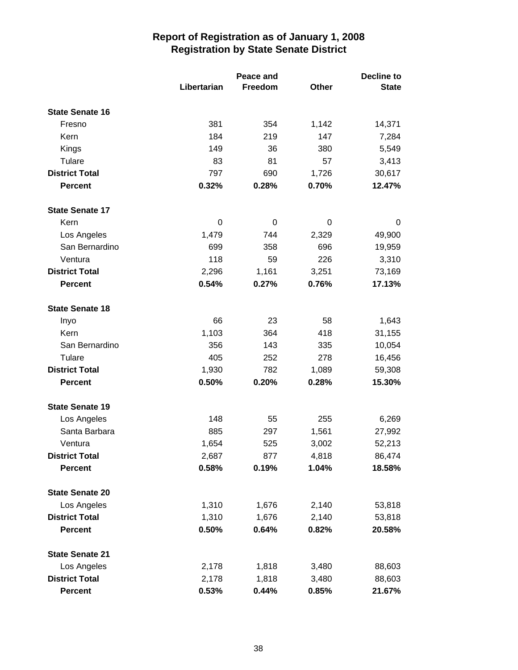|                        |             | Peace and      |              |              |
|------------------------|-------------|----------------|--------------|--------------|
|                        | Libertarian | <b>Freedom</b> | <b>Other</b> | <b>State</b> |
| <b>State Senate 16</b> |             |                |              |              |
| Fresno                 | 381         | 354            | 1,142        | 14,371       |
| Kern                   | 184         | 219            | 147          | 7,284        |
| Kings                  | 149         | 36             | 380          | 5,549        |
| Tulare                 | 83          | 81             | 57           | 3,413        |
| <b>District Total</b>  | 797         | 690            | 1,726        | 30,617       |
| <b>Percent</b>         | 0.32%       | 0.28%          | 0.70%        | 12.47%       |
| <b>State Senate 17</b> |             |                |              |              |
| Kern                   | 0           | 0              | 0            | 0            |
| Los Angeles            | 1,479       | 744            | 2,329        | 49,900       |
| San Bernardino         | 699         | 358            | 696          | 19,959       |
| Ventura                | 118         | 59             | 226          | 3,310        |
| <b>District Total</b>  | 2,296       | 1,161          | 3,251        | 73,169       |
| <b>Percent</b>         | 0.54%       | 0.27%          | 0.76%        | 17.13%       |
| <b>State Senate 18</b> |             |                |              |              |
| Inyo                   | 66          | 23             | 58           | 1,643        |
| Kern                   | 1,103       | 364            | 418          | 31,155       |
| San Bernardino         | 356         | 143            | 335          | 10,054       |
| Tulare                 | 405         | 252            | 278          | 16,456       |
| <b>District Total</b>  | 1,930       | 782            | 1,089        | 59,308       |
| <b>Percent</b>         | 0.50%       | 0.20%          | 0.28%        | 15.30%       |
| <b>State Senate 19</b> |             |                |              |              |
| Los Angeles            | 148         | 55             | 255          | 6,269        |
| Santa Barbara          | 885         | 297            | 1,561        | 27,992       |
| Ventura                | 1,654       | 525            | 3,002        | 52,213       |
| <b>District Total</b>  | 2,687       | 877            | 4,818        | 86,474       |
| <b>Percent</b>         | 0.58%       | 0.19%          | 1.04%        | 18.58%       |
| <b>State Senate 20</b> |             |                |              |              |
| Los Angeles            | 1,310       | 1,676          | 2,140        | 53,818       |
| <b>District Total</b>  | 1,310       | 1,676          | 2,140        | 53,818       |
| <b>Percent</b>         | 0.50%       | 0.64%          | 0.82%        | 20.58%       |
| <b>State Senate 21</b> |             |                |              |              |
| Los Angeles            | 2,178       | 1,818          | 3,480        | 88,603       |
| <b>District Total</b>  | 2,178       | 1,818          | 3,480        | 88,603       |
| <b>Percent</b>         | 0.53%       | 0.44%          | 0.85%        | 21.67%       |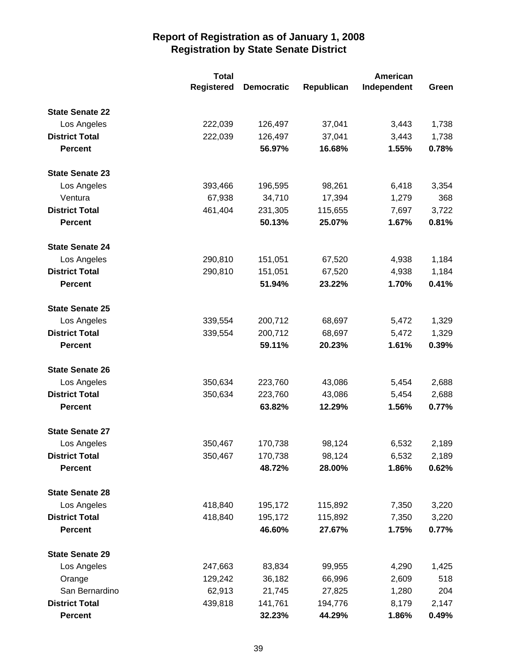|                        | <b>Total</b>      |                   |            | <b>American</b> |       |
|------------------------|-------------------|-------------------|------------|-----------------|-------|
|                        | <b>Registered</b> | <b>Democratic</b> | Republican | Independent     | Green |
| <b>State Senate 22</b> |                   |                   |            |                 |       |
| Los Angeles            | 222,039           | 126,497           | 37,041     | 3,443           | 1,738 |
| <b>District Total</b>  | 222,039           | 126,497           | 37,041     | 3,443           | 1,738 |
| <b>Percent</b>         |                   | 56.97%            | 16.68%     | 1.55%           | 0.78% |
| <b>State Senate 23</b> |                   |                   |            |                 |       |
| Los Angeles            | 393,466           | 196,595           | 98,261     | 6,418           | 3,354 |
| Ventura                | 67,938            | 34,710            | 17,394     | 1,279           | 368   |
| <b>District Total</b>  | 461,404           | 231,305           | 115,655    | 7,697           | 3,722 |
| <b>Percent</b>         |                   | 50.13%            | 25.07%     | 1.67%           | 0.81% |
| <b>State Senate 24</b> |                   |                   |            |                 |       |
| Los Angeles            | 290,810           | 151,051           | 67,520     | 4,938           | 1,184 |
| <b>District Total</b>  | 290,810           | 151,051           | 67,520     | 4,938           | 1,184 |
| <b>Percent</b>         |                   | 51.94%            | 23.22%     | 1.70%           | 0.41% |
| <b>State Senate 25</b> |                   |                   |            |                 |       |
| Los Angeles            | 339,554           | 200,712           | 68,697     | 5,472           | 1,329 |
| <b>District Total</b>  | 339,554           | 200,712           | 68,697     | 5,472           | 1,329 |
| <b>Percent</b>         |                   | 59.11%            | 20.23%     | 1.61%           | 0.39% |
| <b>State Senate 26</b> |                   |                   |            |                 |       |
| Los Angeles            | 350,634           | 223,760           | 43,086     | 5,454           | 2,688 |
| <b>District Total</b>  | 350,634           | 223,760           | 43,086     | 5,454           | 2,688 |
| <b>Percent</b>         |                   | 63.82%            | 12.29%     | 1.56%           | 0.77% |
| <b>State Senate 27</b> |                   |                   |            |                 |       |
| Los Angeles            | 350,467           | 170,738           | 98,124     | 6,532           | 2,189 |
| <b>District Total</b>  | 350,467           | 170,738           | 98,124     | 6,532           | 2,189 |
| <b>Percent</b>         |                   | 48.72%            | 28.00%     | 1.86%           | 0.62% |
| <b>State Senate 28</b> |                   |                   |            |                 |       |
| Los Angeles            | 418,840           | 195,172           | 115,892    | 7,350           | 3,220 |
| <b>District Total</b>  | 418,840           | 195,172           | 115,892    | 7,350           | 3,220 |
| <b>Percent</b>         |                   | 46.60%            | 27.67%     | 1.75%           | 0.77% |
| <b>State Senate 29</b> |                   |                   |            |                 |       |
| Los Angeles            | 247,663           | 83,834            | 99,955     | 4,290           | 1,425 |
| Orange                 | 129,242           | 36,182            | 66,996     | 2,609           | 518   |
| San Bernardino         | 62,913            | 21,745            | 27,825     | 1,280           | 204   |
| <b>District Total</b>  | 439,818           | 141,761           | 194,776    | 8,179           | 2,147 |
| <b>Percent</b>         |                   | 32.23%            | 44.29%     | 1.86%           | 0.49% |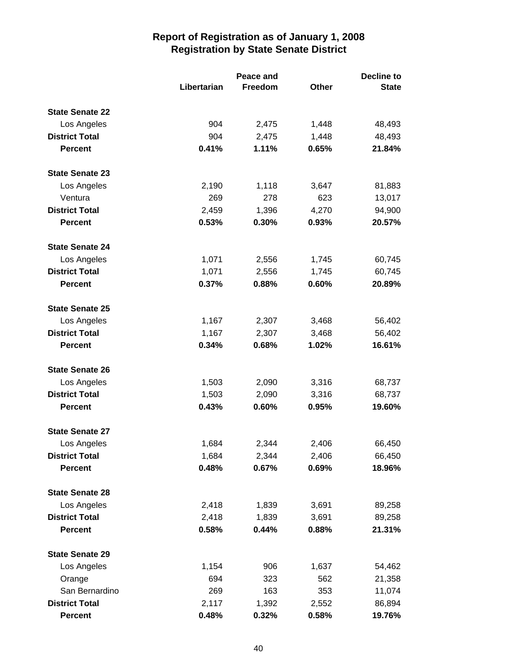|                        | Peace and   |         | <b>Decline to</b> |              |
|------------------------|-------------|---------|-------------------|--------------|
|                        | Libertarian | Freedom | Other             | <b>State</b> |
| <b>State Senate 22</b> |             |         |                   |              |
| Los Angeles            | 904         | 2,475   | 1,448             | 48,493       |
| <b>District Total</b>  | 904         | 2,475   | 1,448             | 48,493       |
| <b>Percent</b>         | 0.41%       | 1.11%   | 0.65%             | 21.84%       |
| <b>State Senate 23</b> |             |         |                   |              |
| Los Angeles            | 2,190       | 1,118   | 3,647             | 81,883       |
| Ventura                | 269         | 278     | 623               | 13,017       |
| <b>District Total</b>  | 2,459       | 1,396   | 4,270             | 94,900       |
| <b>Percent</b>         | 0.53%       | 0.30%   | 0.93%             | 20.57%       |
| <b>State Senate 24</b> |             |         |                   |              |
| Los Angeles            | 1,071       | 2,556   | 1,745             | 60,745       |
| <b>District Total</b>  | 1,071       | 2,556   | 1,745             | 60,745       |
| <b>Percent</b>         | 0.37%       | 0.88%   | 0.60%             | 20.89%       |
| <b>State Senate 25</b> |             |         |                   |              |
| Los Angeles            | 1,167       | 2,307   | 3,468             | 56,402       |
| <b>District Total</b>  | 1,167       | 2,307   | 3,468             | 56,402       |
| <b>Percent</b>         | 0.34%       | 0.68%   | 1.02%             | 16.61%       |
| <b>State Senate 26</b> |             |         |                   |              |
| Los Angeles            | 1,503       | 2,090   | 3,316             | 68,737       |
| <b>District Total</b>  | 1,503       | 2,090   | 3,316             | 68,737       |
| <b>Percent</b>         | 0.43%       | 0.60%   | 0.95%             | 19.60%       |
| <b>State Senate 27</b> |             |         |                   |              |
| Los Angeles            | 1,684       | 2,344   | 2,406             | 66,450       |
| <b>District Total</b>  | 1,684       | 2,344   | 2,406             | 66,450       |
| <b>Percent</b>         | 0.48%       | 0.67%   | 0.69%             | 18.96%       |
| <b>State Senate 28</b> |             |         |                   |              |
| Los Angeles            | 2,418       | 1,839   | 3,691             | 89,258       |
| <b>District Total</b>  | 2,418       | 1,839   | 3,691             | 89,258       |
| <b>Percent</b>         | 0.58%       | 0.44%   | 0.88%             | 21.31%       |
| <b>State Senate 29</b> |             |         |                   |              |
| Los Angeles            | 1,154       | 906     | 1,637             | 54,462       |
| Orange                 | 694         | 323     | 562               | 21,358       |
| San Bernardino         | 269         | 163     | 353               | 11,074       |
| <b>District Total</b>  | 2,117       | 1,392   | 2,552             | 86,894       |
| <b>Percent</b>         | 0.48%       | 0.32%   | 0.58%             | 19.76%       |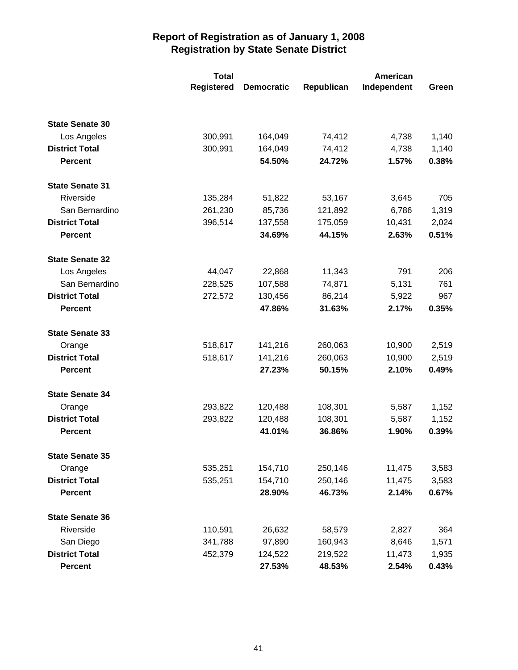|                        | <b>Total</b>      |                   |            | American    |       |
|------------------------|-------------------|-------------------|------------|-------------|-------|
|                        | <b>Registered</b> | <b>Democratic</b> | Republican | Independent | Green |
|                        |                   |                   |            |             |       |
| <b>State Senate 30</b> |                   |                   |            |             |       |
| Los Angeles            | 300,991           | 164,049           | 74,412     | 4,738       | 1,140 |
| <b>District Total</b>  | 300,991           | 164,049           | 74,412     | 4,738       | 1,140 |
| <b>Percent</b>         |                   | 54.50%            | 24.72%     | 1.57%       | 0.38% |
| <b>State Senate 31</b> |                   |                   |            |             |       |
| Riverside              | 135,284           | 51,822            | 53,167     | 3,645       | 705   |
| San Bernardino         | 261,230           | 85,736            | 121,892    | 6,786       | 1,319 |
| <b>District Total</b>  | 396,514           | 137,558           | 175,059    | 10,431      | 2,024 |
| <b>Percent</b>         |                   | 34.69%            | 44.15%     | 2.63%       | 0.51% |
| <b>State Senate 32</b> |                   |                   |            |             |       |
| Los Angeles            | 44,047            | 22,868            | 11,343     | 791         | 206   |
| San Bernardino         | 228,525           | 107,588           | 74,871     | 5,131       | 761   |
| <b>District Total</b>  | 272,572           | 130,456           | 86,214     | 5,922       | 967   |
| <b>Percent</b>         |                   | 47.86%            | 31.63%     | 2.17%       | 0.35% |
| <b>State Senate 33</b> |                   |                   |            |             |       |
| Orange                 | 518,617           | 141,216           | 260,063    | 10,900      | 2,519 |
| <b>District Total</b>  | 518,617           | 141,216           | 260,063    | 10,900      | 2,519 |
| <b>Percent</b>         |                   | 27.23%            | 50.15%     | 2.10%       | 0.49% |
| <b>State Senate 34</b> |                   |                   |            |             |       |
| Orange                 | 293,822           | 120,488           | 108,301    | 5,587       | 1,152 |
| <b>District Total</b>  | 293,822           | 120,488           | 108,301    | 5,587       | 1,152 |
| <b>Percent</b>         |                   | 41.01%            | 36.86%     | 1.90%       | 0.39% |
| <b>State Senate 35</b> |                   |                   |            |             |       |
| Orange                 | 535,251           | 154,710           | 250,146    | 11,475      | 3,583 |
| <b>District Total</b>  | 535,251           | 154,710           | 250,146    | 11,475      | 3,583 |
| <b>Percent</b>         |                   | 28.90%            | 46.73%     | 2.14%       | 0.67% |
| <b>State Senate 36</b> |                   |                   |            |             |       |
| Riverside              | 110,591           | 26,632            | 58,579     | 2,827       | 364   |
| San Diego              | 341,788           | 97,890            | 160,943    | 8,646       | 1,571 |
| <b>District Total</b>  | 452,379           | 124,522           | 219,522    | 11,473      | 1,935 |
| <b>Percent</b>         |                   | 27.53%            | 48.53%     | 2.54%       | 0.43% |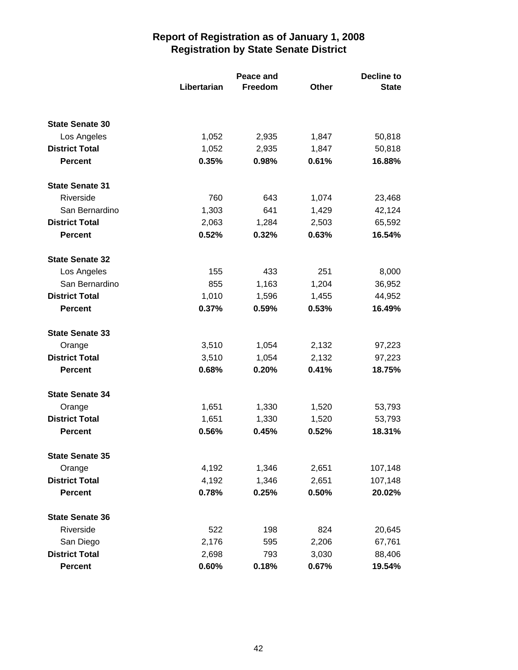|                        | Peace and   |         |              | <b>Decline to</b> |
|------------------------|-------------|---------|--------------|-------------------|
|                        | Libertarian | Freedom | <b>Other</b> | <b>State</b>      |
|                        |             |         |              |                   |
| <b>State Senate 30</b> |             |         |              |                   |
| Los Angeles            | 1,052       | 2,935   | 1,847        | 50,818            |
| <b>District Total</b>  | 1,052       | 2,935   | 1,847        | 50,818            |
| <b>Percent</b>         | 0.35%       | 0.98%   | 0.61%        | 16.88%            |
| <b>State Senate 31</b> |             |         |              |                   |
| Riverside              | 760         | 643     | 1,074        | 23,468            |
| San Bernardino         | 1,303       | 641     | 1,429        | 42,124            |
| <b>District Total</b>  | 2,063       | 1,284   | 2,503        | 65,592            |
| <b>Percent</b>         | 0.52%       | 0.32%   | 0.63%        | 16.54%            |
| <b>State Senate 32</b> |             |         |              |                   |
| Los Angeles            | 155         | 433     | 251          | 8,000             |
| San Bernardino         | 855         | 1,163   | 1,204        | 36,952            |
| <b>District Total</b>  | 1,010       | 1,596   | 1,455        | 44,952            |
| <b>Percent</b>         | 0.37%       | 0.59%   | 0.53%        | 16.49%            |
| <b>State Senate 33</b> |             |         |              |                   |
| Orange                 | 3,510       | 1,054   | 2,132        | 97,223            |
| <b>District Total</b>  | 3,510       | 1,054   | 2,132        | 97,223            |
| <b>Percent</b>         | 0.68%       | 0.20%   | 0.41%        | 18.75%            |
| <b>State Senate 34</b> |             |         |              |                   |
| Orange                 | 1,651       | 1,330   | 1,520        | 53,793            |
| <b>District Total</b>  | 1,651       | 1,330   | 1,520        | 53,793            |
| <b>Percent</b>         | 0.56%       | 0.45%   | 0.52%        | 18.31%            |
| <b>State Senate 35</b> |             |         |              |                   |
| Orange                 | 4,192       | 1,346   | 2,651        | 107,148           |
| <b>District Total</b>  | 4,192       | 1,346   | 2,651        | 107,148           |
| <b>Percent</b>         | 0.78%       | 0.25%   | 0.50%        | 20.02%            |
| <b>State Senate 36</b> |             |         |              |                   |
| Riverside              | 522         | 198     | 824          | 20,645            |
| San Diego              | 2,176       | 595     | 2,206        | 67,761            |
| <b>District Total</b>  | 2,698       | 793     | 3,030        | 88,406            |
| Percent                | 0.60%       | 0.18%   | 0.67%        | 19.54%            |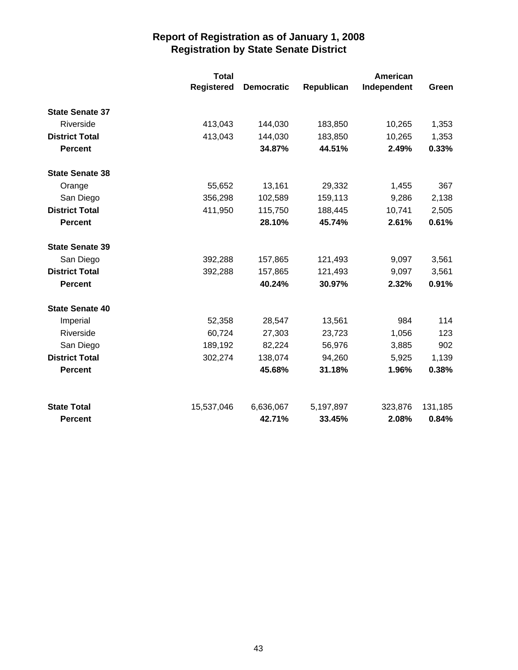|                        | <b>Total</b>      |                   |            | American    |         |
|------------------------|-------------------|-------------------|------------|-------------|---------|
|                        | <b>Registered</b> | <b>Democratic</b> | Republican | Independent | Green   |
| <b>State Senate 37</b> |                   |                   |            |             |         |
| Riverside              | 413,043           | 144,030           | 183,850    | 10,265      | 1,353   |
| <b>District Total</b>  | 413,043           | 144,030           | 183,850    | 10,265      | 1,353   |
| <b>Percent</b>         |                   | 34.87%            | 44.51%     | 2.49%       | 0.33%   |
| <b>State Senate 38</b> |                   |                   |            |             |         |
| Orange                 | 55,652            | 13,161            | 29,332     | 1,455       | 367     |
| San Diego              | 356,298           | 102,589           | 159,113    | 9,286       | 2,138   |
| <b>District Total</b>  | 411,950           | 115,750           | 188,445    | 10,741      | 2,505   |
| <b>Percent</b>         |                   | 28.10%            | 45.74%     | 2.61%       | 0.61%   |
| <b>State Senate 39</b> |                   |                   |            |             |         |
| San Diego              | 392,288           | 157,865           | 121,493    | 9,097       | 3,561   |
| <b>District Total</b>  | 392,288           | 157,865           | 121,493    | 9,097       | 3,561   |
| <b>Percent</b>         |                   | 40.24%            | 30.97%     | 2.32%       | 0.91%   |
| <b>State Senate 40</b> |                   |                   |            |             |         |
| Imperial               | 52,358            | 28,547            | 13,561     | 984         | 114     |
| Riverside              | 60,724            | 27,303            | 23,723     | 1,056       | 123     |
| San Diego              | 189,192           | 82,224            | 56,976     | 3,885       | 902     |
| <b>District Total</b>  | 302,274           | 138,074           | 94,260     | 5,925       | 1,139   |
| <b>Percent</b>         |                   | 45.68%            | 31.18%     | 1.96%       | 0.38%   |
| <b>State Total</b>     | 15,537,046        | 6,636,067         | 5,197,897  | 323,876     | 131,185 |
| <b>Percent</b>         |                   | 42.71%            | 33.45%     | 2.08%       | 0.84%   |